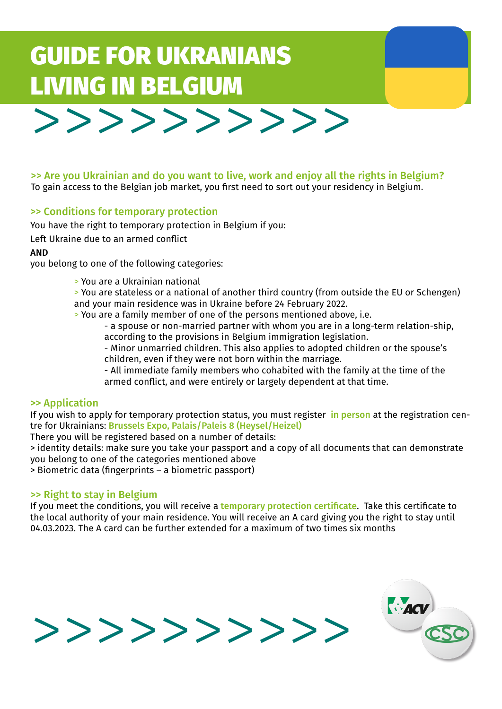# GUIDE FOR UKRANIANS LIVING IN BELGIUM



>> Are you Ukrainian and do you want to live, work and enjoy all the rights in Belgium? To gain access to the Belgian job market, you first need to sort out your residency in Belgium.

## >> Conditions for temporary protection

You have the right to temporary protection in Belgium if you:

Left Ukraine due to an armed conflict

AND

you belong to one of the following categories:

- > You are a Ukrainian national
- > You are stateless or a national of another third country (from outside the EU or Schengen) and your main residence was in Ukraine before 24 February 2022.

> You are a family member of one of the persons mentioned above, i.e.

- a spouse or non-married partner with whom you are in a long-term relation-ship, according to the provisions in Belgium immigration legislation.

- Minor unmarried children. This also applies to adopted children or the spouse's children, even if they were not born within the marriage.

- All immediate family members who cohabited with the family at the time of the armed conflict, and were entirely or largely dependent at that time.

#### >> Application

If you wish to apply for temporary protection status, you must register in person at the registration centre for Ukrainians: Brussels Expo, Palais/Paleis 8 (Heysel/Heizel)

There you will be registered based on a number of details:

> identity details: make sure you take your passport and a copy of all documents that can demonstrate you belong to one of the categories mentioned above

> Biometric data (fingerprints – a biometric passport)

#### >> Right to stay in Belgium

If you meet the conditions, you will receive a temporary protection certificate. Take this certificate to the local authority of your main residence. You will receive an A card giving you the right to stay until 04.03.2023. The A card can be further extended for a maximum of two times six months